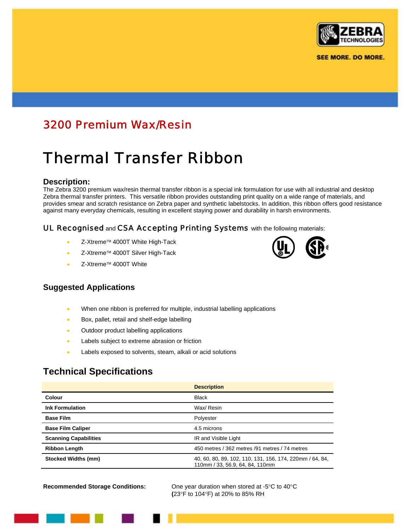

**SEE MORE. DO MORE.** 

# 3200 Premium Wax/Resin

# Thermal Transfer Ribbon

#### **Description:**

The Zebra 3200 premium wax/resin thermal transfer ribbon is a special ink formulation for use with all industrial and desktop Zebra thermal transfer printers. This versatile ribbon provides outstanding print quality on a wide range of materials, and provides smear and scratch resistance on Zebra paper and synthetic labelstocks. In addition, this ribbon offers good resistance against many everyday chemicals, resulting in excellent staying power and durability in harsh environments.

#### UL Recognised and CSA Accepting Printing Systems with the following materials:

- Z-Xtreme™ 4000T White High-Tack
- Z-Xtreme™ 4000T Silver High-Tack
- Z-Xtreme™ 4000T White

#### **Suggested Applications**

- When one ribbon is preferred for multiple, industrial labelling applications
- Box, pallet, retail and shelf-edge labelling
- Outdoor product labelling applications
- Labels subject to extreme abrasion or friction
- Labels exposed to solvents, steam, alkali or acid solutions

## **Technical Specifications**

|                              | <b>Description</b>                                                                          |  |
|------------------------------|---------------------------------------------------------------------------------------------|--|
| Colour                       | <b>Black</b>                                                                                |  |
| <b>Ink Formulation</b>       | Wax/ Resin                                                                                  |  |
| <b>Base Film</b>             | Polyester                                                                                   |  |
| <b>Base Film Caliper</b>     | 4.5 microns                                                                                 |  |
| <b>Scanning Capabilities</b> | IR and Visible Light                                                                        |  |
| <b>Ribbon Length</b>         | 450 metres / 362 metres / 91 metres / 74 metres                                             |  |
| <b>Stocked Widths (mm)</b>   | 40, 60, 80, 89, 102, 110, 131, 156, 174, 220mm / 64, 84,<br>110mm / 33, 56.9, 64, 84, 110mm |  |

**Recommended Storage Conditions:** One year duration when stored at -5°C to 40°C **(**23°F to 104°F) at 20% to 85% RH

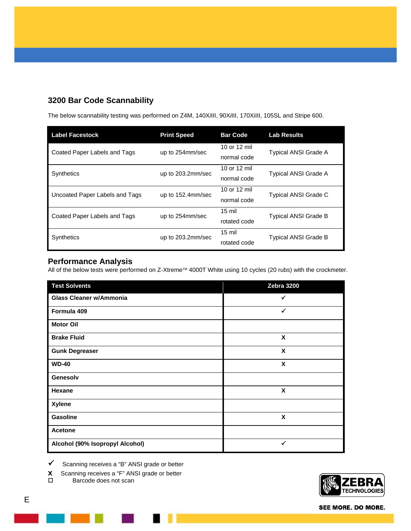### **3200 Bar Code Scannability**

The below scannability testing was performed on Z4M, 140X*i*III, 90X*i*III, 170XiIII, 105SL and Stripe 600.

| <b>Label Facestock</b>                 | <b>Print Speed</b> | <b>Bar Code</b>  | <b>Lab Results</b>          |
|----------------------------------------|--------------------|------------------|-----------------------------|
| Coated Paper Labels and Tags           | up to 254mm/sec    | 10 or 12 mil     | <b>Typical ANSI Grade A</b> |
|                                        |                    | normal code      |                             |
| <b>Synthetics</b><br>up to 203.2mm/sec |                    | 10 or 12 mil     | Typical ANSI Grade A        |
|                                        |                    | normal code      |                             |
| Uncoated Paper Labels and Tags         | up to 152.4mm/sec  | 10 or 12 mil     | <b>Typical ANSI Grade C</b> |
|                                        |                    | normal code      |                             |
| Coated Paper Labels and Tags           | up to 254mm/sec    | $15 \text{ mil}$ | <b>Typical ANSI Grade B</b> |
|                                        |                    | rotated code     |                             |
| <b>Synthetics</b>                      | up to 203.2mm/sec  | $15 \text{ mil}$ | <b>Typical ANSI Grade B</b> |
|                                        |                    | rotated code     |                             |

#### **Performance Analysis**

All of the below tests were performed on Z-Xtreme™ 4000T White using 10 cycles (20 rubs) with the crockmeter.

| <b>Test Solvents</b>            | Zebra 3200 |
|---------------------------------|------------|
| <b>Glass Cleaner w/Ammonia</b>  | ✔          |
| Formula 409                     | ✓          |
| <b>Motor Oil</b>                |            |
| <b>Brake Fluid</b>              | X          |
| <b>Gunk Degreaser</b>           | X          |
| <b>WD-40</b>                    | X          |
| Genesolv                        |            |
| Hexane                          | X          |
| <b>Xylene</b>                   |            |
| Gasoline                        | X          |
| <b>Acetone</b>                  |            |
| Alcohol (90% Isopropyl Alcohol) | ✓          |

 $\checkmark$  Scanning receives a "B" ANSI grade or better

**x** Scanning receives a "F" ANSI grade or better □<br>□ Barcode does not scan

Barcode does not scan



SEE MORE. DO MORE.